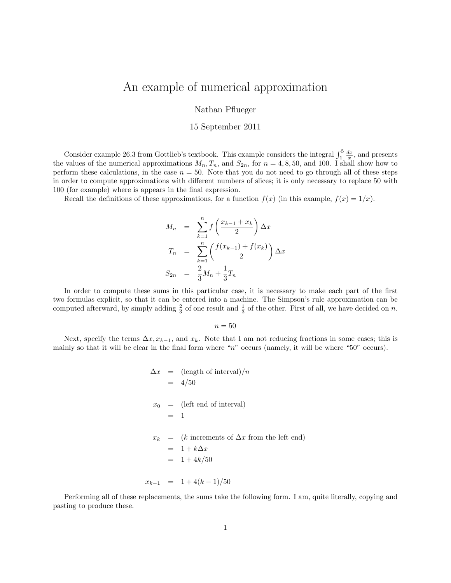## An example of numerical approximation

Nathan Pflueger

## 15 September 2011

Consider example 26.3 from Gottlieb's textbook. This example considers the integral  $\int_1^5 \frac{dx}{x}$ , and presents the values of the numerical approximations  $M_n, T_n$ , and  $S_{2n}$ , for  $n = 4, 8, 50$ , and 100. I shall show how to perform these calculations, in the case  $n = 50$ . Note that you do not need to go through all of these steps in order to compute approximations with different numbers of slices; it is only necessary to replace 50 with 100 (for example) where is appears in the final expression.

Recall the definitions of these approximations, for a function  $f(x)$  (in this example,  $f(x) = 1/x$ ).

$$
M_n = \sum_{k=1}^n f\left(\frac{x_{k-1} + x_k}{2}\right) \Delta x
$$
  
\n
$$
T_n = \sum_{k=1}^n \left(\frac{f(x_{k-1}) + f(x_k)}{2}\right) \Delta x
$$
  
\n
$$
S_{2n} = \frac{2}{3} M_n + \frac{1}{3} T_n
$$

In order to compute these sums in this particular case, it is necessary to make each part of the first two formulas explicit, so that it can be entered into a machine. The Simpson's rule approximation can be computed afterward, by simply adding  $\frac{2}{3}$  of one result and  $\frac{1}{3}$  of the other. First of all, we have decided on n.

 $n = 50$ 

Next, specify the terms  $\Delta x, x_{k-1}$ , and  $x_k$ . Note that I am not reducing fractions in some cases; this is mainly so that it will be clear in the final form where "n" occurs (namely, it will be where "50" occurs).

$$
\Delta x = (\text{length of interval})/n
$$
  
= 4/50  
 $x_0 = (\text{left end of interval})$   
= 1  
 $x_k = (k \text{ increments of } \Delta x \text{ from the left end})$   
= 1 + k\Delta x  
= 1 + 4k/50  
 $x_{k-1} = 1 + 4(k-1)/50$ 

Performing all of these replacements, the sums take the following form. I am, quite literally, copying and pasting to produce these.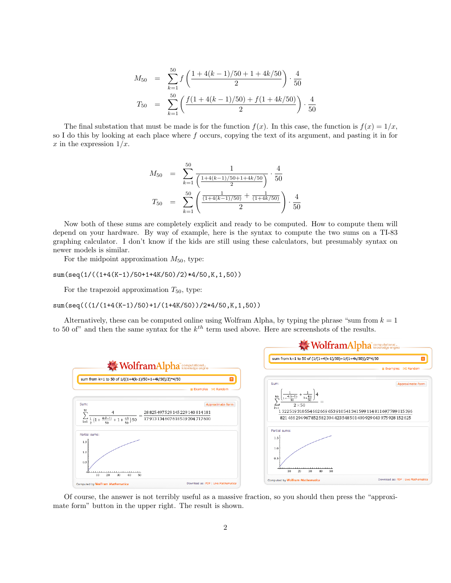$$
M_{50} = \sum_{k=1}^{50} f\left(\frac{1 + 4(k - 1)/50 + 1 + 4k/50}{2}\right) \cdot \frac{4}{50}
$$
  

$$
T_{50} = \sum_{k=1}^{50} \left(\frac{f(1 + 4(k - 1)/50) + f(1 + 4k/50)}{2}\right) \cdot \frac{4}{50}
$$

The final substation that must be made is for the function  $f(x)$ . In this case, the function is  $f(x) = 1/x$ , so I do this by looking at each place where  $f$  occurs, copying the text of its argument, and pasting it in for x in the expression  $1/x$ .

$$
M_{50} = \sum_{k=1}^{50} \frac{1}{\left(\frac{1+4(k-1)/50+1+4k/50}{2}\right)} \cdot \frac{4}{50}
$$

$$
T_{50} = \sum_{k=1}^{50} \left(\frac{\frac{1}{(1+4(k-1)/50)} + \frac{1}{(1+4k/50)}}{2}\right) \cdot \frac{4}{50}
$$

Now both of these sums are completely explicit and ready to be computed. How to compute them will depend on your hardware. By way of example, here is the syntax to compute the two sums on a TI-83 graphing calculator. I don't know if the kids are still using these calculators, but presumably syntax on newer models is similar.

For the midpoint approximation  $M_{50}$ , type:

sum(seq(1/((1+4(K-1)/50+1+4K/50)/2)\*4/50,K,1,50))

For the trapezoid approximation  $T_{50}$ , type:

sum(seq(((1/(1+4(K-1)/50)+1/(1+4K/50))/2\*4/50,K,1,50))

Alternatively, these can be computed online using Wolfram Alpha, by typing the phrase "sum from  $k = 1$ " to 50 of" and then the same syntax for the  $k^{th}$  term used above. Here are screenshots of the results.



Of course, the answer is not terribly useful as a massive fraction, so you should then press the "approximate form" button in the upper right. The result is shown.